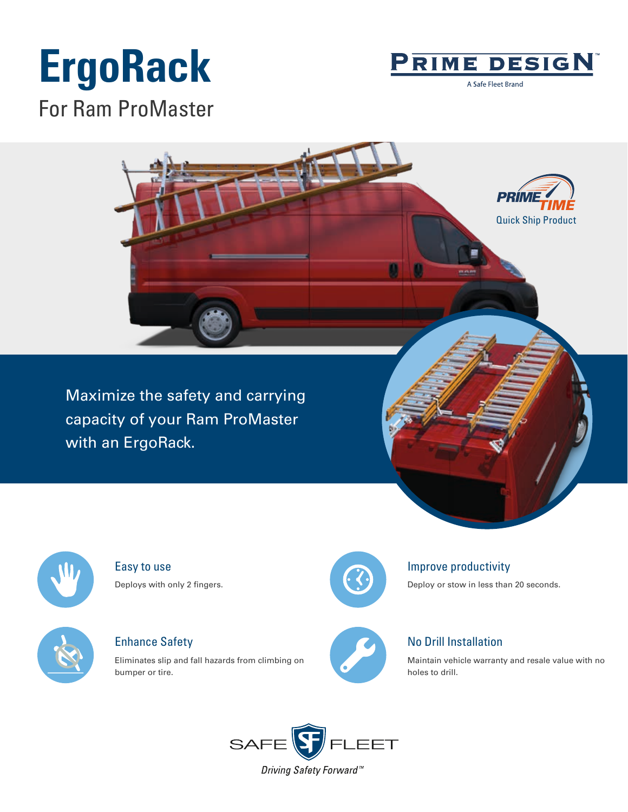# **ErgoRack**



A Safe Fleet Brand

For Ram ProMaster



Maximize the safety and carrying capacity of your Ram ProMaster with an ErgoRack.



Easy to use Deploys with only 2 fingers.



Enhance Safety

Eliminates slip and fall hazards from climbing on bumper or tire.



#### Improve productivity

Deploy or stow in less than 20 seconds.



### No Drill Installation

Maintain vehicle warranty and resale value with no holes to drill.